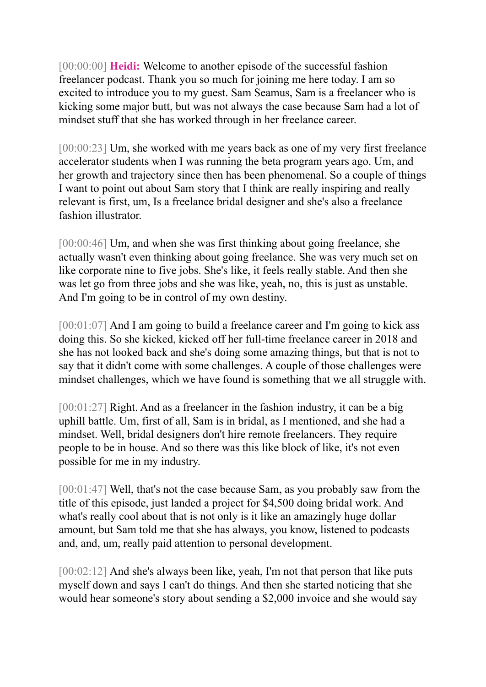[00:00:00] **Heidi:** Welcome to another episode of the successful fashion freelancer podcast. Thank you so much for joining me here today. I am so excited to introduce you to my guest. Sam Seamus, Sam is a freelancer who is kicking some major butt, but was not always the case because Sam had a lot of mindset stuff that she has worked through in her freelance career.

[00:00:23] Um, she worked with me years back as one of my very first freelance accelerator students when I was running the beta program years ago. Um, and her growth and trajectory since then has been phenomenal. So a couple of things I want to point out about Sam story that I think are really inspiring and really relevant is first, um, Is a freelance bridal designer and she's also a freelance fashion illustrator.

[00:00:46] Um, and when she was first thinking about going freelance, she actually wasn't even thinking about going freelance. She was very much set on like corporate nine to five jobs. She's like, it feels really stable. And then she was let go from three jobs and she was like, yeah, no, this is just as unstable. And I'm going to be in control of my own destiny.

[00:01:07] And I am going to build a freelance career and I'm going to kick ass doing this. So she kicked, kicked off her full-time freelance career in 2018 and she has not looked back and she's doing some amazing things, but that is not to say that it didn't come with some challenges. A couple of those challenges were mindset challenges, which we have found is something that we all struggle with.

[00:01:27] Right. And as a freelancer in the fashion industry, it can be a big uphill battle. Um, first of all, Sam is in bridal, as I mentioned, and she had a mindset. Well, bridal designers don't hire remote freelancers. They require people to be in house. And so there was this like block of like, it's not even possible for me in my industry.

[00:01:47] Well, that's not the case because Sam, as you probably saw from the title of this episode, just landed a project for \$4,500 doing bridal work. And what's really cool about that is not only is it like an amazingly huge dollar amount, but Sam told me that she has always, you know, listened to podcasts and, and, um, really paid attention to personal development.

[00:02:12] And she's always been like, yeah, I'm not that person that like puts myself down and says I can't do things. And then she started noticing that she would hear someone's story about sending a \$2,000 invoice and she would say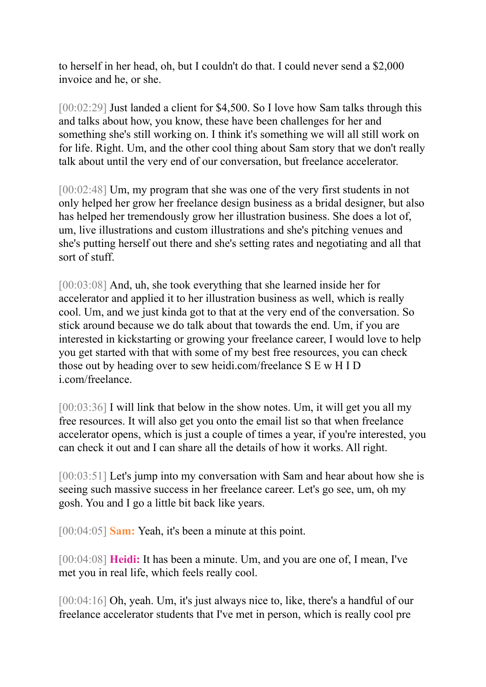to herself in her head, oh, but I couldn't do that. I could never send a \$2,000 invoice and he, or she.

[00:02:29] Just landed a client for \$4,500. So I love how Sam talks through this and talks about how, you know, these have been challenges for her and something she's still working on. I think it's something we will all still work on for life. Right. Um, and the other cool thing about Sam story that we don't really talk about until the very end of our conversation, but freelance accelerator.

[00:02:48] Um, my program that she was one of the very first students in not only helped her grow her freelance design business as a bridal designer, but also has helped her tremendously grow her illustration business. She does a lot of, um, live illustrations and custom illustrations and she's pitching venues and she's putting herself out there and she's setting rates and negotiating and all that sort of stuff.

[00:03:08] And, uh, she took everything that she learned inside her for accelerator and applied it to her illustration business as well, which is really cool. Um, and we just kinda got to that at the very end of the conversation. So stick around because we do talk about that towards the end. Um, if you are interested in kickstarting or growing your freelance career, I would love to help you get started with that with some of my best free resources, you can check those out by heading over to sew heidi.com/freelance S E w H I D i.com/freelance.

[00:03:36] I will link that below in the show notes. Um, it will get you all my free resources. It will also get you onto the email list so that when freelance accelerator opens, which is just a couple of times a year, if you're interested, you can check it out and I can share all the details of how it works. All right.

[00:03:51] Let's jump into my conversation with Sam and hear about how she is seeing such massive success in her freelance career. Let's go see, um, oh my gosh. You and I go a little bit back like years.

[00:04:05] **Sam:** Yeah, it's been a minute at this point.

[00:04:08] **Heidi:** It has been a minute. Um, and you are one of, I mean, I've met you in real life, which feels really cool.

[00:04:16] Oh, yeah. Um, it's just always nice to, like, there's a handful of our freelance accelerator students that I've met in person, which is really cool pre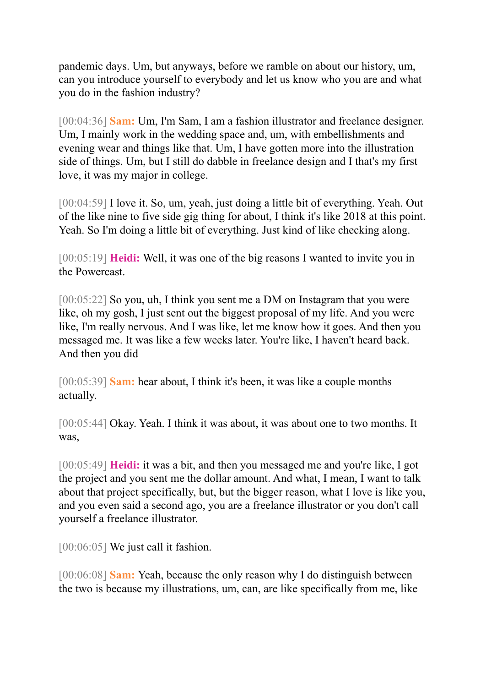pandemic days. Um, but anyways, before we ramble on about our history, um, can you introduce yourself to everybody and let us know who you are and what you do in the fashion industry?

[00:04:36] **Sam:** Um, I'm Sam, I am a fashion illustrator and freelance designer. Um, I mainly work in the wedding space and, um, with embellishments and evening wear and things like that. Um, I have gotten more into the illustration side of things. Um, but I still do dabble in freelance design and I that's my first love, it was my major in college.

[00:04:59] I love it. So, um, yeah, just doing a little bit of everything. Yeah. Out of the like nine to five side gig thing for about, I think it's like 2018 at this point. Yeah. So I'm doing a little bit of everything. Just kind of like checking along.

[00:05:19] **Heidi:** Well, it was one of the big reasons I wanted to invite you in the Powercast.

[00:05:22] So you, uh, I think you sent me a DM on Instagram that you were like, oh my gosh, I just sent out the biggest proposal of my life. And you were like, I'm really nervous. And I was like, let me know how it goes. And then you messaged me. It was like a few weeks later. You're like, I haven't heard back. And then you did

[00:05:39] **Sam:** hear about, I think it's been, it was like a couple months actually.

[00:05:44] Okay. Yeah. I think it was about, it was about one to two months. It was,

[00:05:49] **Heidi:** it was a bit, and then you messaged me and you're like, I got the project and you sent me the dollar amount. And what, I mean, I want to talk about that project specifically, but, but the bigger reason, what I love is like you, and you even said a second ago, you are a freelance illustrator or you don't call yourself a freelance illustrator.

[00:06:05] We just call it fashion.

[00:06:08] **Sam:** Yeah, because the only reason why I do distinguish between the two is because my illustrations, um, can, are like specifically from me, like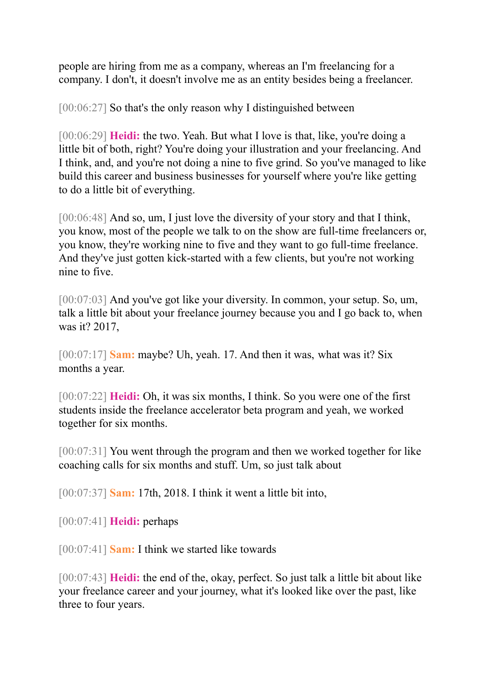people are hiring from me as a company, whereas an I'm freelancing for a company. I don't, it doesn't involve me as an entity besides being a freelancer.

[00:06:27] So that's the only reason why I distinguished between

[00:06:29] **Heidi:** the two. Yeah. But what I love is that, like, you're doing a little bit of both, right? You're doing your illustration and your freelancing. And I think, and, and you're not doing a nine to five grind. So you've managed to like build this career and business businesses for yourself where you're like getting to do a little bit of everything.

[00:06:48] And so, um, I just love the diversity of your story and that I think, you know, most of the people we talk to on the show are full-time freelancers or, you know, they're working nine to five and they want to go full-time freelance. And they've just gotten kick-started with a few clients, but you're not working nine to five.

[00:07:03] And you've got like your diversity. In common, your setup. So, um, talk a little bit about your freelance journey because you and I go back to, when was it? 2017,

[00:07:17] **Sam:** maybe? Uh, yeah. 17. And then it was, what was it? Six months a year.

[00:07:22] **Heidi:** Oh, it was six months, I think. So you were one of the first students inside the freelance accelerator beta program and yeah, we worked together for six months.

[00:07:31] You went through the program and then we worked together for like coaching calls for six months and stuff. Um, so just talk about

[00:07:37] **Sam:** 17th, 2018. I think it went a little bit into,

[00:07:41] **Heidi:** perhaps

[00:07:41] **Sam:** I think we started like towards

[00:07:43] **Heidi:** the end of the, okay, perfect. So just talk a little bit about like your freelance career and your journey, what it's looked like over the past, like three to four years.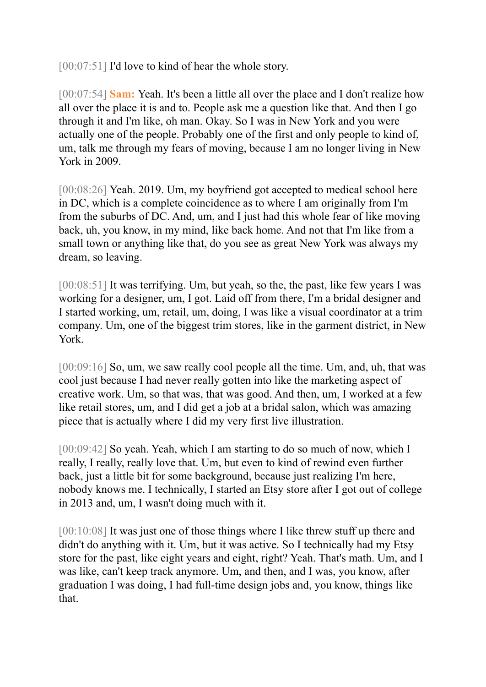[00:07:51] I'd love to kind of hear the whole story.

[00:07:54] **Sam:** Yeah. It's been a little all over the place and I don't realize how all over the place it is and to. People ask me a question like that. And then I go through it and I'm like, oh man. Okay. So I was in New York and you were actually one of the people. Probably one of the first and only people to kind of, um, talk me through my fears of moving, because I am no longer living in New York in 2009.

[00:08:26] Yeah. 2019. Um, my boyfriend got accepted to medical school here in DC, which is a complete coincidence as to where I am originally from I'm from the suburbs of DC. And, um, and I just had this whole fear of like moving back, uh, you know, in my mind, like back home. And not that I'm like from a small town or anything like that, do you see as great New York was always my dream, so leaving.

[00:08:51] It was terrifying. Um, but yeah, so the, the past, like few years I was working for a designer, um, I got. Laid off from there, I'm a bridal designer and I started working, um, retail, um, doing, I was like a visual coordinator at a trim company. Um, one of the biggest trim stores, like in the garment district, in New York.

[00:09:16] So, um, we saw really cool people all the time. Um, and, uh, that was cool just because I had never really gotten into like the marketing aspect of creative work. Um, so that was, that was good. And then, um, I worked at a few like retail stores, um, and I did get a job at a bridal salon, which was amazing piece that is actually where I did my very first live illustration.

[00:09:42] So yeah. Yeah, which I am starting to do so much of now, which I really, I really, really love that. Um, but even to kind of rewind even further back, just a little bit for some background, because just realizing I'm here, nobody knows me. I technically, I started an Etsy store after I got out of college in 2013 and, um, I wasn't doing much with it.

[00:10:08] It was just one of those things where I like threw stuff up there and didn't do anything with it. Um, but it was active. So I technically had my Etsy store for the past, like eight years and eight, right? Yeah. That's math. Um, and I was like, can't keep track anymore. Um, and then, and I was, you know, after graduation I was doing, I had full-time design jobs and, you know, things like that.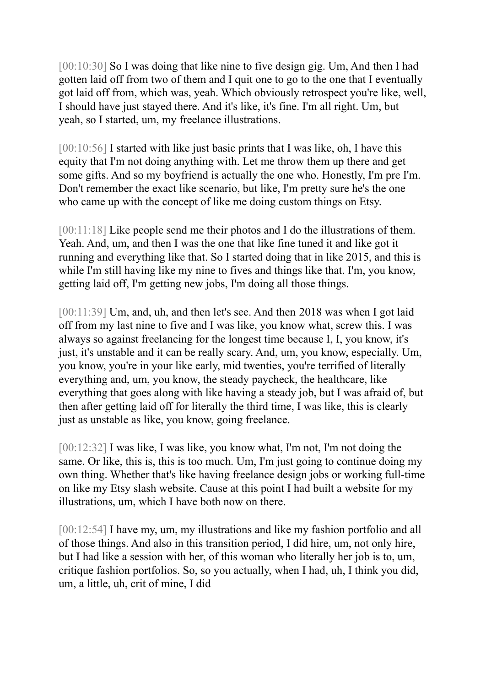[00:10:30] So I was doing that like nine to five design gig. Um, And then I had gotten laid off from two of them and I quit one to go to the one that I eventually got laid off from, which was, yeah. Which obviously retrospect you're like, well, I should have just stayed there. And it's like, it's fine. I'm all right. Um, but yeah, so I started, um, my freelance illustrations.

[00:10:56] I started with like just basic prints that I was like, oh, I have this equity that I'm not doing anything with. Let me throw them up there and get some gifts. And so my boyfriend is actually the one who. Honestly, I'm pre I'm. Don't remember the exact like scenario, but like, I'm pretty sure he's the one who came up with the concept of like me doing custom things on Etsy.

[00:11:18] Like people send me their photos and I do the illustrations of them. Yeah. And, um, and then I was the one that like fine tuned it and like got it running and everything like that. So I started doing that in like 2015, and this is while I'm still having like my nine to fives and things like that. I'm, you know, getting laid off, I'm getting new jobs, I'm doing all those things.

[00:11:39] Um, and, uh, and then let's see. And then 2018 was when I got laid off from my last nine to five and I was like, you know what, screw this. I was always so against freelancing for the longest time because I, I, you know, it's just, it's unstable and it can be really scary. And, um, you know, especially. Um, you know, you're in your like early, mid twenties, you're terrified of literally everything and, um, you know, the steady paycheck, the healthcare, like everything that goes along with like having a steady job, but I was afraid of, but then after getting laid off for literally the third time, I was like, this is clearly just as unstable as like, you know, going freelance.

[00:12:32] I was like, I was like, you know what, I'm not, I'm not doing the same. Or like, this is, this is too much. Um, I'm just going to continue doing my own thing. Whether that's like having freelance design jobs or working full-time on like my Etsy slash website. Cause at this point I had built a website for my illustrations, um, which I have both now on there.

[00:12:54] I have my, um, my illustrations and like my fashion portfolio and all of those things. And also in this transition period, I did hire, um, not only hire, but I had like a session with her, of this woman who literally her job is to, um, critique fashion portfolios. So, so you actually, when I had, uh, I think you did, um, a little, uh, crit of mine, I did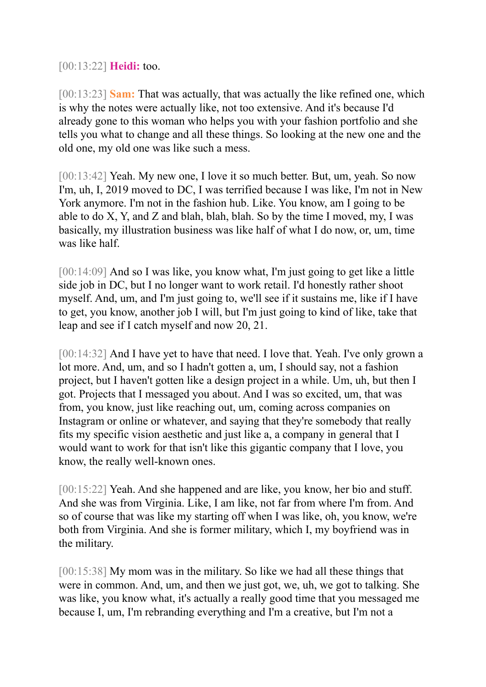[00:13:22] **Heidi:** too.

[00:13:23] **Sam:** That was actually, that was actually the like refined one, which is why the notes were actually like, not too extensive. And it's because I'd already gone to this woman who helps you with your fashion portfolio and she tells you what to change and all these things. So looking at the new one and the old one, my old one was like such a mess.

[00:13:42] Yeah. My new one, I love it so much better. But, um, yeah. So now I'm, uh, I, 2019 moved to DC, I was terrified because I was like, I'm not in New York anymore. I'm not in the fashion hub. Like. You know, am I going to be able to do X, Y, and Z and blah, blah, blah. So by the time I moved, my, I was basically, my illustration business was like half of what I do now, or, um, time was like half.

[00:14:09] And so I was like, you know what, I'm just going to get like a little side job in DC, but I no longer want to work retail. I'd honestly rather shoot myself. And, um, and I'm just going to, we'll see if it sustains me, like if I have to get, you know, another job I will, but I'm just going to kind of like, take that leap and see if I catch myself and now 20, 21.

[00:14:32] And I have yet to have that need. I love that. Yeah. I've only grown a lot more. And, um, and so I hadn't gotten a, um, I should say, not a fashion project, but I haven't gotten like a design project in a while. Um, uh, but then I got. Projects that I messaged you about. And I was so excited, um, that was from, you know, just like reaching out, um, coming across companies on Instagram or online or whatever, and saying that they're somebody that really fits my specific vision aesthetic and just like a, a company in general that I would want to work for that isn't like this gigantic company that I love, you know, the really well-known ones.

[00:15:22] Yeah. And she happened and are like, you know, her bio and stuff. And she was from Virginia. Like, I am like, not far from where I'm from. And so of course that was like my starting off when I was like, oh, you know, we're both from Virginia. And she is former military, which I, my boyfriend was in the military.

[00:15:38] My mom was in the military. So like we had all these things that were in common. And, um, and then we just got, we, uh, we got to talking. She was like, you know what, it's actually a really good time that you messaged me because I, um, I'm rebranding everything and I'm a creative, but I'm not a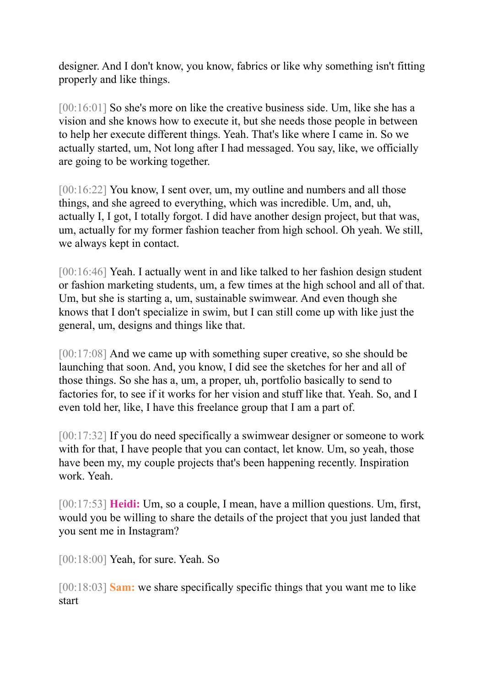designer. And I don't know, you know, fabrics or like why something isn't fitting properly and like things.

[00:16:01] So she's more on like the creative business side. Um, like she has a vision and she knows how to execute it, but she needs those people in between to help her execute different things. Yeah. That's like where I came in. So we actually started, um, Not long after I had messaged. You say, like, we officially are going to be working together.

[00:16:22] You know, I sent over, um, my outline and numbers and all those things, and she agreed to everything, which was incredible. Um, and, uh, actually I, I got, I totally forgot. I did have another design project, but that was, um, actually for my former fashion teacher from high school. Oh yeah. We still, we always kept in contact.

[00:16:46] Yeah. I actually went in and like talked to her fashion design student or fashion marketing students, um, a few times at the high school and all of that. Um, but she is starting a, um, sustainable swimwear. And even though she knows that I don't specialize in swim, but I can still come up with like just the general, um, designs and things like that.

[00:17:08] And we came up with something super creative, so she should be launching that soon. And, you know, I did see the sketches for her and all of those things. So she has a, um, a proper, uh, portfolio basically to send to factories for, to see if it works for her vision and stuff like that. Yeah. So, and I even told her, like, I have this freelance group that I am a part of.

[00:17:32] If you do need specifically a swimwear designer or someone to work with for that, I have people that you can contact, let know. Um, so yeah, those have been my, my couple projects that's been happening recently. Inspiration work. Yeah.

[00:17:53] **Heidi:** Um, so a couple, I mean, have a million questions. Um, first, would you be willing to share the details of the project that you just landed that you sent me in Instagram?

[00:18:00] Yeah, for sure. Yeah. So

[00:18:03] **Sam:** we share specifically specific things that you want me to like start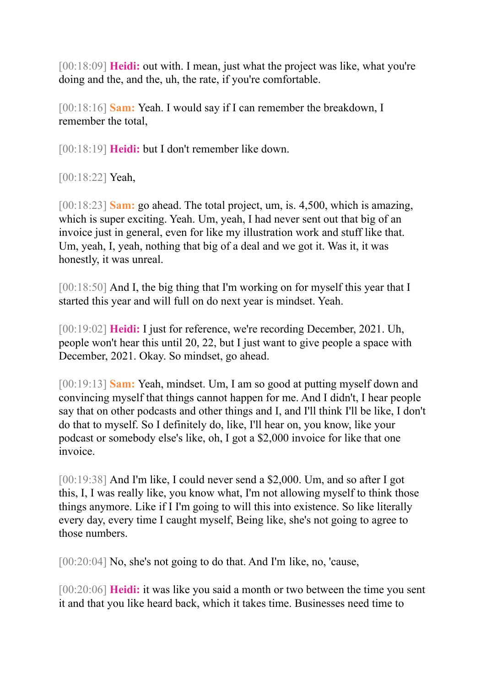[00:18:09] **Heidi:** out with. I mean, just what the project was like, what you're doing and the, and the, uh, the rate, if you're comfortable.

[00:18:16] **Sam:** Yeah. I would say if I can remember the breakdown, I remember the total,

[00:18:19] **Heidi:** but I don't remember like down.

[00:18:22] **Yeah**,

[00:18:23] **Sam:** go ahead. The total project, um, is. 4,500, which is amazing, which is super exciting. Yeah. Um, yeah, I had never sent out that big of an invoice just in general, even for like my illustration work and stuff like that. Um, yeah, I, yeah, nothing that big of a deal and we got it. Was it, it was honestly, it was unreal.

[00:18:50] And I, the big thing that I'm working on for myself this year that I started this year and will full on do next year is mindset. Yeah.

[00:19:02] **Heidi:** I just for reference, we're recording December, 2021. Uh, people won't hear this until 20, 22, but I just want to give people a space with December, 2021. Okay. So mindset, go ahead.

[00:19:13] **Sam:** Yeah, mindset. Um, I am so good at putting myself down and convincing myself that things cannot happen for me. And I didn't, I hear people say that on other podcasts and other things and I, and I'll think I'll be like, I don't do that to myself. So I definitely do, like, I'll hear on, you know, like your podcast or somebody else's like, oh, I got a \$2,000 invoice for like that one invoice.

[00:19:38] And I'm like, I could never send a \$2,000. Um, and so after I got this, I, I was really like, you know what, I'm not allowing myself to think those things anymore. Like if I I'm going to will this into existence. So like literally every day, every time I caught myself, Being like, she's not going to agree to those numbers.

[00:20:04] No, she's not going to do that. And I'm like, no, 'cause,

[00:20:06] **Heidi:** it was like you said a month or two between the time you sent it and that you like heard back, which it takes time. Businesses need time to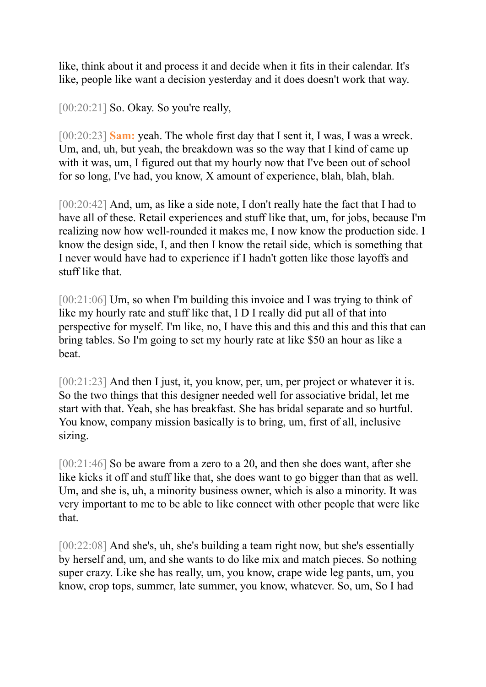like, think about it and process it and decide when it fits in their calendar. It's like, people like want a decision yesterday and it does doesn't work that way.

 $[00:20:21]$  So. Okay. So you're really,

[00:20:23] **Sam:** yeah. The whole first day that I sent it, I was, I was a wreck. Um, and, uh, but yeah, the breakdown was so the way that I kind of came up with it was, um, I figured out that my hourly now that I've been out of school for so long, I've had, you know, X amount of experience, blah, blah, blah.

[00:20:42] And, um, as like a side note, I don't really hate the fact that I had to have all of these. Retail experiences and stuff like that, um, for jobs, because I'm realizing now how well-rounded it makes me, I now know the production side. I know the design side, I, and then I know the retail side, which is something that I never would have had to experience if I hadn't gotten like those layoffs and stuff like that.

[00:21:06] Um, so when I'm building this invoice and I was trying to think of like my hourly rate and stuff like that, I D I really did put all of that into perspective for myself. I'm like, no, I have this and this and this and this that can bring tables. So I'm going to set my hourly rate at like \$50 an hour as like a beat.

[00:21:23] And then I just, it, you know, per, um, per project or whatever it is. So the two things that this designer needed well for associative bridal, let me start with that. Yeah, she has breakfast. She has bridal separate and so hurtful. You know, company mission basically is to bring, um, first of all, inclusive sizing.

[00:21:46] So be aware from a zero to a 20, and then she does want, after she like kicks it off and stuff like that, she does want to go bigger than that as well. Um, and she is, uh, a minority business owner, which is also a minority. It was very important to me to be able to like connect with other people that were like that.

[00:22:08] And she's, uh, she's building a team right now, but she's essentially by herself and, um, and she wants to do like mix and match pieces. So nothing super crazy. Like she has really, um, you know, crape wide leg pants, um, you know, crop tops, summer, late summer, you know, whatever. So, um, So I had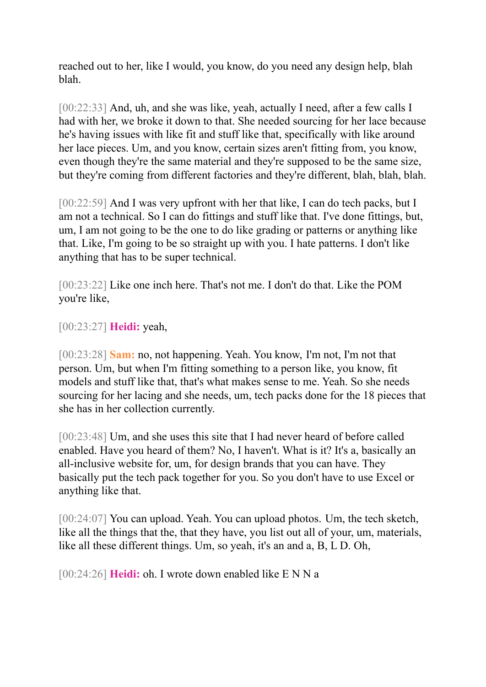reached out to her, like I would, you know, do you need any design help, blah blah.

[00:22:33] And, uh, and she was like, yeah, actually I need, after a few calls I had with her, we broke it down to that. She needed sourcing for her lace because he's having issues with like fit and stuff like that, specifically with like around her lace pieces. Um, and you know, certain sizes aren't fitting from, you know, even though they're the same material and they're supposed to be the same size, but they're coming from different factories and they're different, blah, blah, blah.

[00:22:59] And I was very upfront with her that like, I can do tech packs, but I am not a technical. So I can do fittings and stuff like that. I've done fittings, but, um, I am not going to be the one to do like grading or patterns or anything like that. Like, I'm going to be so straight up with you. I hate patterns. I don't like anything that has to be super technical.

[00:23:22] Like one inch here. That's not me. I don't do that. Like the POM you're like,

[00:23:27] **Heidi:** yeah,

[00:23:28] **Sam:** no, not happening. Yeah. You know, I'm not, I'm not that person. Um, but when I'm fitting something to a person like, you know, fit models and stuff like that, that's what makes sense to me. Yeah. So she needs sourcing for her lacing and she needs, um, tech packs done for the 18 pieces that she has in her collection currently.

[00:23:48] Um, and she uses this site that I had never heard of before called enabled. Have you heard of them? No, I haven't. What is it? It's a, basically an all-inclusive website for, um, for design brands that you can have. They basically put the tech pack together for you. So you don't have to use Excel or anything like that.

[00:24:07] You can upload. Yeah. You can upload photos. Um, the tech sketch, like all the things that the, that they have, you list out all of your, um, materials, like all these different things. Um, so yeah, it's an and a, B, L D. Oh,

[00:24:26] **Heidi:** oh. I wrote down enabled like E N N a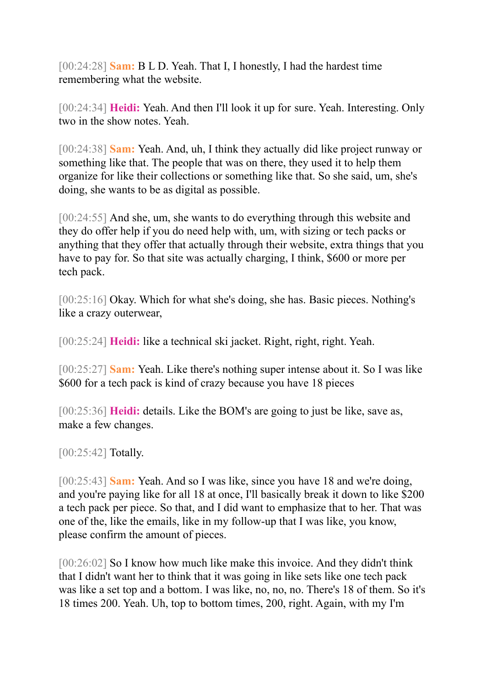[00:24:28] **Sam:** B L D. Yeah. That I, I honestly, I had the hardest time remembering what the website.

[00:24:34] **Heidi:** Yeah. And then I'll look it up for sure. Yeah. Interesting. Only two in the show notes. Yeah.

[00:24:38] **Sam:** Yeah. And, uh, I think they actually did like project runway or something like that. The people that was on there, they used it to help them organize for like their collections or something like that. So she said, um, she's doing, she wants to be as digital as possible.

[00:24:55] And she, um, she wants to do everything through this website and they do offer help if you do need help with, um, with sizing or tech packs or anything that they offer that actually through their website, extra things that you have to pay for. So that site was actually charging, I think, \$600 or more per tech pack.

[00:25:16] Okay. Which for what she's doing, she has. Basic pieces. Nothing's like a crazy outerwear,

[00:25:24] **Heidi:** like a technical ski jacket. Right, right, right. Yeah.

[00:25:27] **Sam:** Yeah. Like there's nothing super intense about it. So I was like \$600 for a tech pack is kind of crazy because you have 18 pieces

[00:25:36] **Heidi:** details. Like the BOM's are going to just be like, save as, make a few changes.

[00:25:42] **Totally.** 

[00:25:43] **Sam:** Yeah. And so I was like, since you have 18 and we're doing, and you're paying like for all 18 at once, I'll basically break it down to like \$200 a tech pack per piece. So that, and I did want to emphasize that to her. That was one of the, like the emails, like in my follow-up that I was like, you know, please confirm the amount of pieces.

[00:26:02] So I know how much like make this invoice. And they didn't think that I didn't want her to think that it was going in like sets like one tech pack was like a set top and a bottom. I was like, no, no, no. There's 18 of them. So it's 18 times 200. Yeah. Uh, top to bottom times, 200, right. Again, with my I'm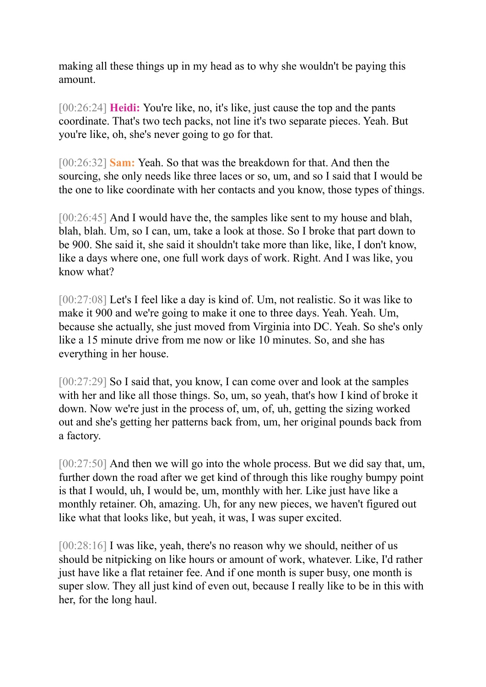making all these things up in my head as to why she wouldn't be paying this amount.

[00:26:24] **Heidi:** You're like, no, it's like, just cause the top and the pants coordinate. That's two tech packs, not line it's two separate pieces. Yeah. But you're like, oh, she's never going to go for that.

[00:26:32] **Sam:** Yeah. So that was the breakdown for that. And then the sourcing, she only needs like three laces or so, um, and so I said that I would be the one to like coordinate with her contacts and you know, those types of things.

[00:26:45] And I would have the, the samples like sent to my house and blah, blah, blah. Um, so I can, um, take a look at those. So I broke that part down to be 900. She said it, she said it shouldn't take more than like, like, I don't know, like a days where one, one full work days of work. Right. And I was like, you know what?

[00:27:08] Let's I feel like a day is kind of. Um, not realistic. So it was like to make it 900 and we're going to make it one to three days. Yeah. Yeah. Um, because she actually, she just moved from Virginia into DC. Yeah. So she's only like a 15 minute drive from me now or like 10 minutes. So, and she has everything in her house.

[00:27:29] So I said that, you know, I can come over and look at the samples with her and like all those things. So, um, so yeah, that's how I kind of broke it down. Now we're just in the process of, um, of, uh, getting the sizing worked out and she's getting her patterns back from, um, her original pounds back from a factory.

[00:27:50] And then we will go into the whole process. But we did say that, um, further down the road after we get kind of through this like roughy bumpy point is that I would, uh, I would be, um, monthly with her. Like just have like a monthly retainer. Oh, amazing. Uh, for any new pieces, we haven't figured out like what that looks like, but yeah, it was, I was super excited.

[00:28:16] I was like, yeah, there's no reason why we should, neither of us should be nitpicking on like hours or amount of work, whatever. Like, I'd rather just have like a flat retainer fee. And if one month is super busy, one month is super slow. They all just kind of even out, because I really like to be in this with her, for the long haul.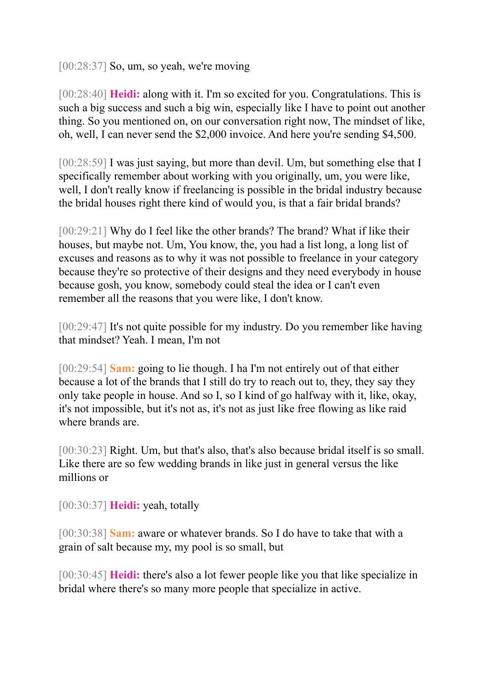[00:28:37] So, um, so yeah, we're moving

[00:28:40] **Heidi:** along with it. I'm so excited for you. Congratulations. This is such a big success and such a big win, especially like I have to point out another thing. So you mentioned on, on our conversation right now, The mindset of like, oh, well, I can never send the \$2,000 invoice. And here you're sending \$4,500.

[00:28:59] I was just saying, but more than devil. Um, but something else that I specifically remember about working with you originally, um, you were like, well, I don't really know if freelancing is possible in the bridal industry because the bridal houses right there kind of would you, is that a fair bridal brands?

[00:29:21] Why do I feel like the other brands? The brand? What if like their houses, but maybe not. Um, You know, the, you had a list long, a long list of excuses and reasons as to why it was not possible to freelance in your category because they're so protective of their designs and they need everybody in house because gosh, you know, somebody could steal the idea or I can't even remember all the reasons that you were like, I don't know.

[00:29:47] It's not quite possible for my industry. Do you remember like having that mindset? Yeah. I mean, I'm not

[00:29:54] **Sam:** going to lie though. I ha I'm not entirely out of that either because a lot of the brands that I still do try to reach out to, they, they say they only take people in house. And so I, so I kind of go halfway with it, like, okay, it's not impossible, but it's not as, it's not as just like free flowing as like raid where brands are.

[00:30:23] Right. Um, but that's also, that's also because bridal itself is so small. Like there are so few wedding brands in like just in general versus the like millions or

[00:30:37] **Heidi:** yeah, totally

[00:30:38] **Sam:** aware or whatever brands. So I do have to take that with a grain of salt because my, my pool is so small, but

[00:30:45] **Heidi:** there's also a lot fewer people like you that like specialize in bridal where there's so many more people that specialize in active.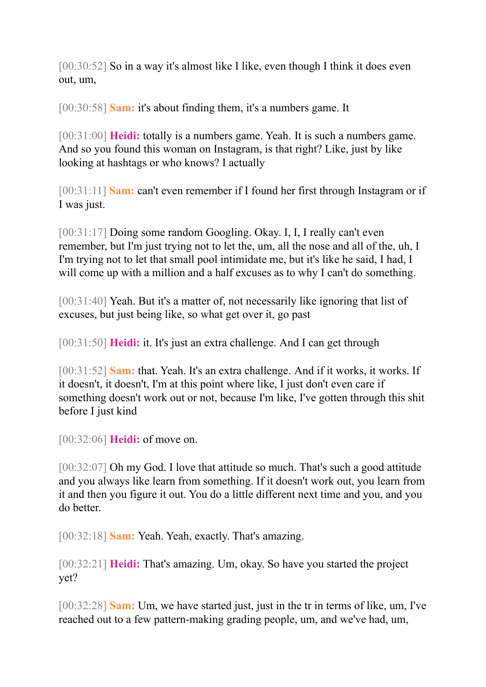[00:30:52] So in a way it's almost like I like, even though I think it does even out, um,

[00:30:58] **Sam:** it's about finding them, it's a numbers game. It

[00:31:00] **Heidi:** totally is a numbers game. Yeah. It is such a numbers game. And so you found this woman on Instagram, is that right? Like, just by like looking at hashtags or who knows? I actually

[00:31:11] **Sam:** can't even remember if I found her first through Instagram or if I was just.

[00:31:17] Doing some random Googling. Okay. I, I, I really can't even remember, but I'm just trying not to let the, um, all the nose and all of the, uh, I I'm trying not to let that small pool intimidate me, but it's like he said, I had, I will come up with a million and a half excuses as to why I can't do something.

[00:31:40] Yeah. But it's a matter of, not necessarily like ignoring that list of excuses, but just being like, so what get over it, go past

[00:31:50] **Heidi:** it. It's just an extra challenge. And I can get through

[00:31:52] **Sam:** that. Yeah. It's an extra challenge. And if it works, it works. If it doesn't, it doesn't, I'm at this point where like, I just don't even care if something doesn't work out or not, because I'm like, I've gotten through this shit before I just kind

[00:32:06] **Heidi:** of move on.

[00:32:07] Oh my God. I love that attitude so much. That's such a good attitude and you always like learn from something. If it doesn't work out, you learn from it and then you figure it out. You do a little different next time and you, and you do better.

[00:32:18] **Sam:** Yeah. Yeah, exactly. That's amazing.

[00:32:21] **Heidi:** That's amazing. Um, okay. So have you started the project yet?

[00:32:28] **Sam:** Um, we have started just, just in the tr in terms of like, um, I've reached out to a few pattern-making grading people, um, and we've had, um,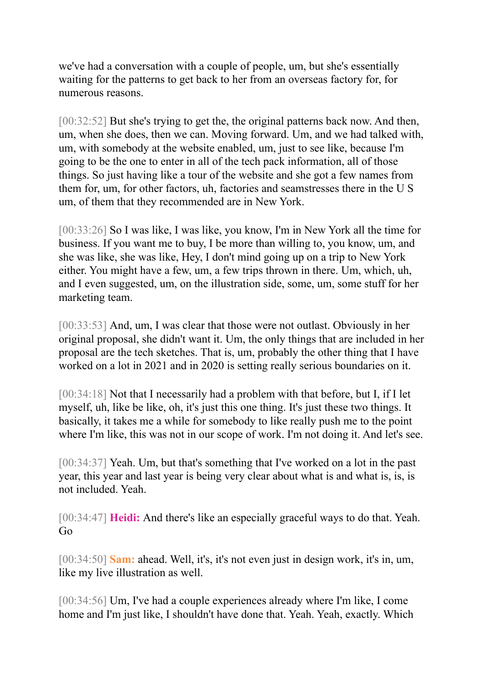we've had a conversation with a couple of people, um, but she's essentially waiting for the patterns to get back to her from an overseas factory for, for numerous reasons.

[00:32:52] But she's trying to get the, the original patterns back now. And then, um, when she does, then we can. Moving forward. Um, and we had talked with, um, with somebody at the website enabled, um, just to see like, because I'm going to be the one to enter in all of the tech pack information, all of those things. So just having like a tour of the website and she got a few names from them for, um, for other factors, uh, factories and seamstresses there in the U S um, of them that they recommended are in New York.

[00:33:26] So I was like, I was like, you know, I'm in New York all the time for business. If you want me to buy, I be more than willing to, you know, um, and she was like, she was like, Hey, I don't mind going up on a trip to New York either. You might have a few, um, a few trips thrown in there. Um, which, uh, and I even suggested, um, on the illustration side, some, um, some stuff for her marketing team.

[00:33:53] And, um, I was clear that those were not outlast. Obviously in her original proposal, she didn't want it. Um, the only things that are included in her proposal are the tech sketches. That is, um, probably the other thing that I have worked on a lot in 2021 and in 2020 is setting really serious boundaries on it.

[00:34:18] Not that I necessarily had a problem with that before, but I, if I let myself, uh, like be like, oh, it's just this one thing. It's just these two things. It basically, it takes me a while for somebody to like really push me to the point where I'm like, this was not in our scope of work. I'm not doing it. And let's see.

[00:34:37] Yeah. Um, but that's something that I've worked on a lot in the past year, this year and last year is being very clear about what is and what is, is, is not included. Yeah.

[00:34:47] **Heidi:** And there's like an especially graceful ways to do that. Yeah. Go

[00:34:50] **Sam:** ahead. Well, it's, it's not even just in design work, it's in, um, like my live illustration as well.

[00:34:56] Um, I've had a couple experiences already where I'm like, I come home and I'm just like, I shouldn't have done that. Yeah. Yeah, exactly. Which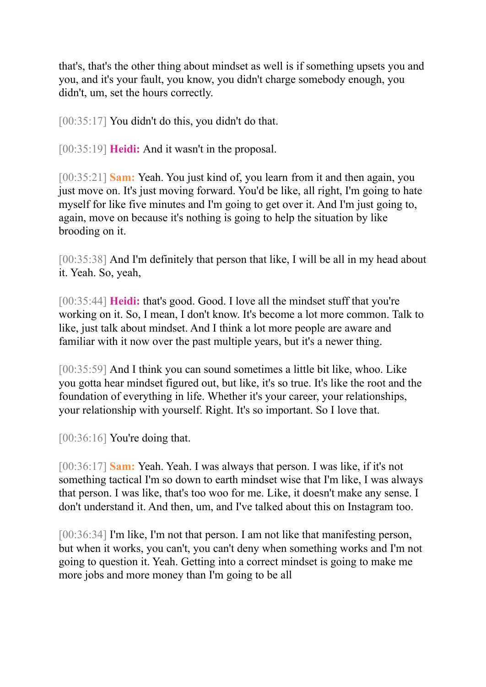that's, that's the other thing about mindset as well is if something upsets you and you, and it's your fault, you know, you didn't charge somebody enough, you didn't, um, set the hours correctly.

[00:35:17] You didn't do this, you didn't do that.

[00:35:19] **Heidi:** And it wasn't in the proposal.

[00:35:21] **Sam:** Yeah. You just kind of, you learn from it and then again, you just move on. It's just moving forward. You'd be like, all right, I'm going to hate myself for like five minutes and I'm going to get over it. And I'm just going to, again, move on because it's nothing is going to help the situation by like brooding on it.

[00:35:38] And I'm definitely that person that like, I will be all in my head about it. Yeah. So, yeah,

[00:35:44] **Heidi:** that's good. Good. I love all the mindset stuff that you're working on it. So, I mean, I don't know. It's become a lot more common. Talk to like, just talk about mindset. And I think a lot more people are aware and familiar with it now over the past multiple years, but it's a newer thing.

[00:35:59] And I think you can sound sometimes a little bit like, whoo. Like you gotta hear mindset figured out, but like, it's so true. It's like the root and the foundation of everything in life. Whether it's your career, your relationships, your relationship with yourself. Right. It's so important. So I love that.

[00:36:16] You're doing that.

[00:36:17] **Sam:** Yeah. Yeah. I was always that person. I was like, if it's not something tactical I'm so down to earth mindset wise that I'm like, I was always that person. I was like, that's too woo for me. Like, it doesn't make any sense. I don't understand it. And then, um, and I've talked about this on Instagram too.

[00:36:34] I'm like, I'm not that person. I am not like that manifesting person, but when it works, you can't, you can't deny when something works and I'm not going to question it. Yeah. Getting into a correct mindset is going to make me more jobs and more money than I'm going to be all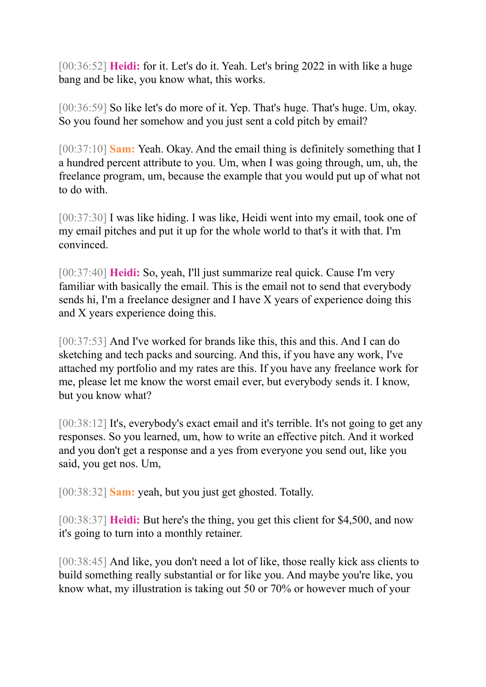[00:36:52] **Heidi:** for it. Let's do it. Yeah. Let's bring 2022 in with like a huge bang and be like, you know what, this works.

[00:36:59] So like let's do more of it. Yep. That's huge. That's huge. Um, okay. So you found her somehow and you just sent a cold pitch by email?

[00:37:10] **Sam:** Yeah. Okay. And the email thing is definitely something that I a hundred percent attribute to you. Um, when I was going through, um, uh, the freelance program, um, because the example that you would put up of what not to do with.

[00:37:30] I was like hiding. I was like, Heidi went into my email, took one of my email pitches and put it up for the whole world to that's it with that. I'm convinced.

[00:37:40] **Heidi:** So, yeah, I'll just summarize real quick. Cause I'm very familiar with basically the email. This is the email not to send that everybody sends hi, I'm a freelance designer and I have X years of experience doing this and X years experience doing this.

[00:37:53] And I've worked for brands like this, this and this. And I can do sketching and tech packs and sourcing. And this, if you have any work, I've attached my portfolio and my rates are this. If you have any freelance work for me, please let me know the worst email ever, but everybody sends it. I know, but you know what?

[00:38:12] It's, everybody's exact email and it's terrible. It's not going to get any responses. So you learned, um, how to write an effective pitch. And it worked and you don't get a response and a yes from everyone you send out, like you said, you get nos. Um,

[00:38:32] **Sam:** yeah, but you just get ghosted. Totally.

[00:38:37] **Heidi:** But here's the thing, you get this client for \$4,500, and now it's going to turn into a monthly retainer.

[00:38:45] And like, you don't need a lot of like, those really kick ass clients to build something really substantial or for like you. And maybe you're like, you know what, my illustration is taking out 50 or 70% or however much of your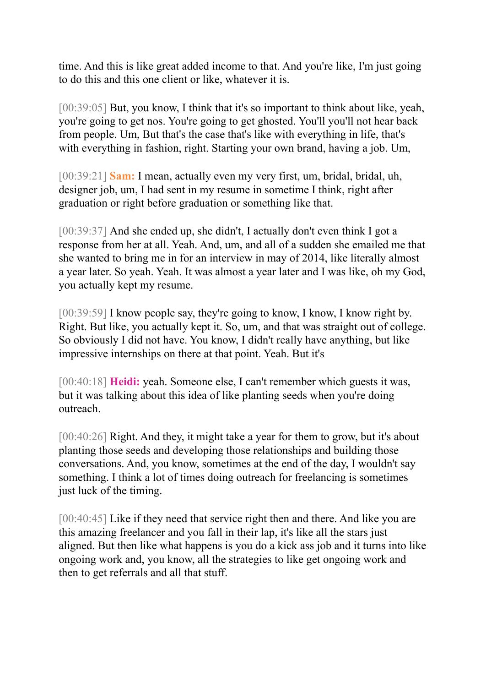time. And this is like great added income to that. And you're like, I'm just going to do this and this one client or like, whatever it is.

[00:39:05] But, you know, I think that it's so important to think about like, yeah, you're going to get nos. You're going to get ghosted. You'll you'll not hear back from people. Um, But that's the case that's like with everything in life, that's with everything in fashion, right. Starting your own brand, having a job. Um,

[00:39:21] **Sam:** I mean, actually even my very first, um, bridal, bridal, uh, designer job, um, I had sent in my resume in sometime I think, right after graduation or right before graduation or something like that.

[00:39:37] And she ended up, she didn't, I actually don't even think I got a response from her at all. Yeah. And, um, and all of a sudden she emailed me that she wanted to bring me in for an interview in may of 2014, like literally almost a year later. So yeah. Yeah. It was almost a year later and I was like, oh my God, you actually kept my resume.

[00:39:59] I know people say, they're going to know, I know, I know right by. Right. But like, you actually kept it. So, um, and that was straight out of college. So obviously I did not have. You know, I didn't really have anything, but like impressive internships on there at that point. Yeah. But it's

[00:40:18] **Heidi:** yeah. Someone else, I can't remember which guests it was, but it was talking about this idea of like planting seeds when you're doing outreach.

[00:40:26] Right. And they, it might take a year for them to grow, but it's about planting those seeds and developing those relationships and building those conversations. And, you know, sometimes at the end of the day, I wouldn't say something. I think a lot of times doing outreach for freelancing is sometimes just luck of the timing.

[00:40:45] Like if they need that service right then and there. And like you are this amazing freelancer and you fall in their lap, it's like all the stars just aligned. But then like what happens is you do a kick ass job and it turns into like ongoing work and, you know, all the strategies to like get ongoing work and then to get referrals and all that stuff.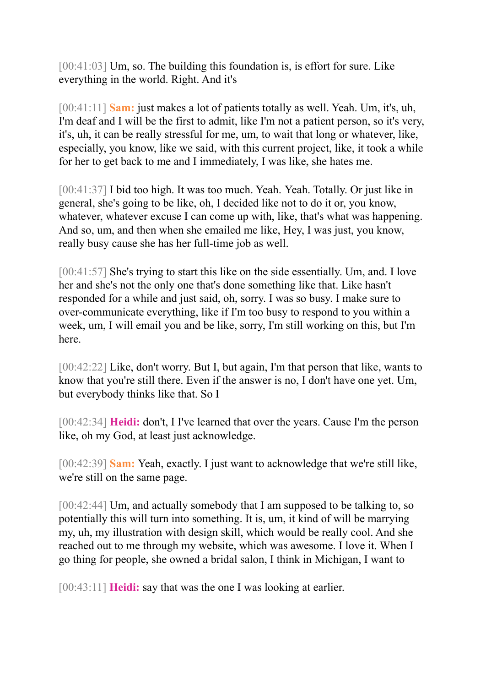[00:41:03] Um, so. The building this foundation is, is effort for sure. Like everything in the world. Right. And it's

[00:41:11] **Sam:** just makes a lot of patients totally as well. Yeah. Um, it's, uh, I'm deaf and I will be the first to admit, like I'm not a patient person, so it's very, it's, uh, it can be really stressful for me, um, to wait that long or whatever, like, especially, you know, like we said, with this current project, like, it took a while for her to get back to me and I immediately, I was like, she hates me.

[00:41:37] I bid too high. It was too much. Yeah. Yeah. Totally. Or just like in general, she's going to be like, oh, I decided like not to do it or, you know, whatever, whatever excuse I can come up with, like, that's what was happening. And so, um, and then when she emailed me like, Hey, I was just, you know, really busy cause she has her full-time job as well.

[00:41:57] She's trying to start this like on the side essentially. Um, and. I love her and she's not the only one that's done something like that. Like hasn't responded for a while and just said, oh, sorry. I was so busy. I make sure to over-communicate everything, like if I'm too busy to respond to you within a week, um, I will email you and be like, sorry, I'm still working on this, but I'm here.

[00:42:22] Like, don't worry. But I, but again, I'm that person that like, wants to know that you're still there. Even if the answer is no, I don't have one yet. Um, but everybody thinks like that. So I

[00:42:34] **Heidi:** don't, I I've learned that over the years. Cause I'm the person like, oh my God, at least just acknowledge.

[00:42:39] **Sam:** Yeah, exactly. I just want to acknowledge that we're still like, we're still on the same page.

[00:42:44] Um, and actually somebody that I am supposed to be talking to, so potentially this will turn into something. It is, um, it kind of will be marrying my, uh, my illustration with design skill, which would be really cool. And she reached out to me through my website, which was awesome. I love it. When I go thing for people, she owned a bridal salon, I think in Michigan, I want to

[00:43:11] **Heidi:** say that was the one I was looking at earlier.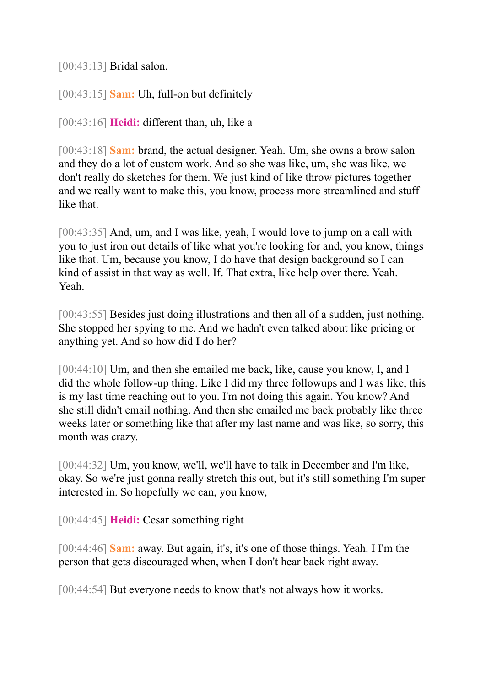[00:43:13] Bridal salon.

[00:43:15] **Sam:** Uh, full-on but definitely

[00:43:16] **Heidi:** different than, uh, like a

[00:43:18] **Sam:** brand, the actual designer. Yeah. Um, she owns a brow salon and they do a lot of custom work. And so she was like, um, she was like, we don't really do sketches for them. We just kind of like throw pictures together and we really want to make this, you know, process more streamlined and stuff like that.

[00:43:35] And, um, and I was like, yeah, I would love to jump on a call with you to just iron out details of like what you're looking for and, you know, things like that. Um, because you know, I do have that design background so I can kind of assist in that way as well. If. That extra, like help over there. Yeah. Yeah.

[00:43:55] Besides just doing illustrations and then all of a sudden, just nothing. She stopped her spying to me. And we hadn't even talked about like pricing or anything yet. And so how did I do her?

[00:44:10] Um, and then she emailed me back, like, cause you know, I, and I did the whole follow-up thing. Like I did my three followups and I was like, this is my last time reaching out to you. I'm not doing this again. You know? And she still didn't email nothing. And then she emailed me back probably like three weeks later or something like that after my last name and was like, so sorry, this month was crazy.

[00:44:32] Um, you know, we'll, we'll have to talk in December and I'm like, okay. So we're just gonna really stretch this out, but it's still something I'm super interested in. So hopefully we can, you know,

[00:44:45] **Heidi:** Cesar something right

[00:44:46] **Sam:** away. But again, it's, it's one of those things. Yeah. I I'm the person that gets discouraged when, when I don't hear back right away.

[00:44:54] But everyone needs to know that's not always how it works.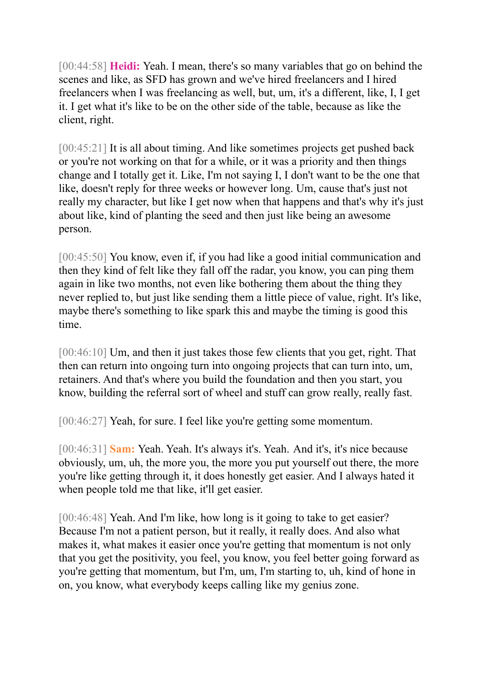[00:44:58] **Heidi:** Yeah. I mean, there's so many variables that go on behind the scenes and like, as SFD has grown and we've hired freelancers and I hired freelancers when I was freelancing as well, but, um, it's a different, like, I, I get it. I get what it's like to be on the other side of the table, because as like the client, right.

[00:45:21] It is all about timing. And like sometimes projects get pushed back or you're not working on that for a while, or it was a priority and then things change and I totally get it. Like, I'm not saying I, I don't want to be the one that like, doesn't reply for three weeks or however long. Um, cause that's just not really my character, but like I get now when that happens and that's why it's just about like, kind of planting the seed and then just like being an awesome person.

[00:45:50] You know, even if, if you had like a good initial communication and then they kind of felt like they fall off the radar, you know, you can ping them again in like two months, not even like bothering them about the thing they never replied to, but just like sending them a little piece of value, right. It's like, maybe there's something to like spark this and maybe the timing is good this time.

[00:46:10] Um, and then it just takes those few clients that you get, right. That then can return into ongoing turn into ongoing projects that can turn into, um, retainers. And that's where you build the foundation and then you start, you know, building the referral sort of wheel and stuff can grow really, really fast.

[00:46:27] Yeah, for sure. I feel like you're getting some momentum.

[00:46:31] **Sam:** Yeah. Yeah. It's always it's. Yeah. And it's, it's nice because obviously, um, uh, the more you, the more you put yourself out there, the more you're like getting through it, it does honestly get easier. And I always hated it when people told me that like, it'll get easier.

[00:46:48] Yeah. And I'm like, how long is it going to take to get easier? Because I'm not a patient person, but it really, it really does. And also what makes it, what makes it easier once you're getting that momentum is not only that you get the positivity, you feel, you know, you feel better going forward as you're getting that momentum, but I'm, um, I'm starting to, uh, kind of hone in on, you know, what everybody keeps calling like my genius zone.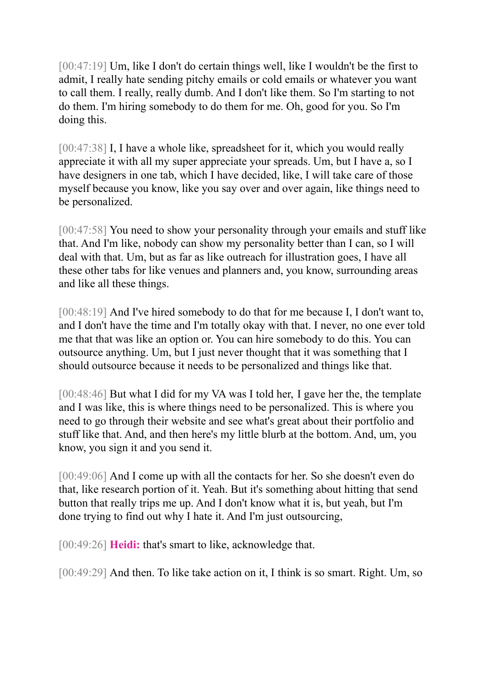[00:47:19] Um, like I don't do certain things well, like I wouldn't be the first to admit, I really hate sending pitchy emails or cold emails or whatever you want to call them. I really, really dumb. And I don't like them. So I'm starting to not do them. I'm hiring somebody to do them for me. Oh, good for you. So I'm doing this.

[00:47:38] I, I have a whole like, spreadsheet for it, which you would really appreciate it with all my super appreciate your spreads. Um, but I have a, so I have designers in one tab, which I have decided, like, I will take care of those myself because you know, like you say over and over again, like things need to be personalized.

[00:47:58] You need to show your personality through your emails and stuff like that. And I'm like, nobody can show my personality better than I can, so I will deal with that. Um, but as far as like outreach for illustration goes, I have all these other tabs for like venues and planners and, you know, surrounding areas and like all these things.

[00:48:19] And I've hired somebody to do that for me because I, I don't want to, and I don't have the time and I'm totally okay with that. I never, no one ever told me that that was like an option or. You can hire somebody to do this. You can outsource anything. Um, but I just never thought that it was something that I should outsource because it needs to be personalized and things like that.

[00:48:46] But what I did for my VA was I told her, I gave her the, the template and I was like, this is where things need to be personalized. This is where you need to go through their website and see what's great about their portfolio and stuff like that. And, and then here's my little blurb at the bottom. And, um, you know, you sign it and you send it.

[00:49:06] And I come up with all the contacts for her. So she doesn't even do that, like research portion of it. Yeah. But it's something about hitting that send button that really trips me up. And I don't know what it is, but yeah, but I'm done trying to find out why I hate it. And I'm just outsourcing,

[00:49:26] **Heidi:** that's smart to like, acknowledge that.

[00:49:29] And then. To like take action on it, I think is so smart. Right. Um, so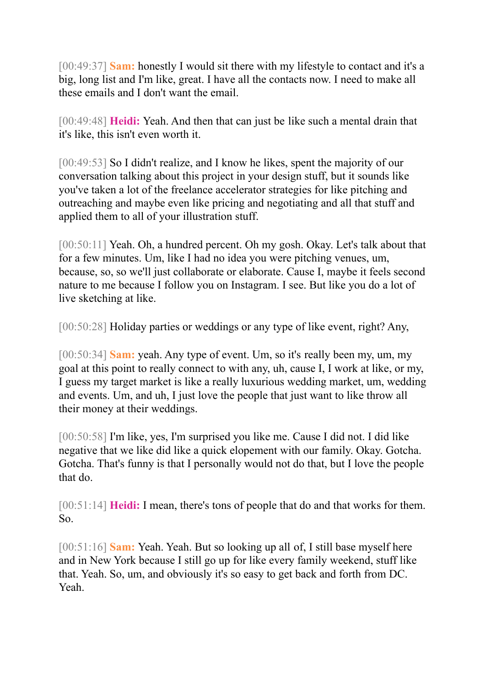[00:49:37] **Sam:** honestly I would sit there with my lifestyle to contact and it's a big, long list and I'm like, great. I have all the contacts now. I need to make all these emails and I don't want the email.

[00:49:48] **Heidi:** Yeah. And then that can just be like such a mental drain that it's like, this isn't even worth it.

[00:49:53] So I didn't realize, and I know he likes, spent the majority of our conversation talking about this project in your design stuff, but it sounds like you've taken a lot of the freelance accelerator strategies for like pitching and outreaching and maybe even like pricing and negotiating and all that stuff and applied them to all of your illustration stuff.

[00:50:11] Yeah. Oh, a hundred percent. Oh my gosh. Okay. Let's talk about that for a few minutes. Um, like I had no idea you were pitching venues, um, because, so, so we'll just collaborate or elaborate. Cause I, maybe it feels second nature to me because I follow you on Instagram. I see. But like you do a lot of live sketching at like.

[00:50:28] Holiday parties or weddings or any type of like event, right? Any,

[00:50:34] **Sam:** yeah. Any type of event. Um, so it's really been my, um, my goal at this point to really connect to with any, uh, cause I, I work at like, or my, I guess my target market is like a really luxurious wedding market, um, wedding and events. Um, and uh, I just love the people that just want to like throw all their money at their weddings.

[00:50:58] I'm like, yes, I'm surprised you like me. Cause I did not. I did like negative that we like did like a quick elopement with our family. Okay. Gotcha. Gotcha. That's funny is that I personally would not do that, but I love the people that do.

[00:51:14] **Heidi:** I mean, there's tons of people that do and that works for them. So.

[00:51:16] **Sam:** Yeah. Yeah. But so looking up all of, I still base myself here and in New York because I still go up for like every family weekend, stuff like that. Yeah. So, um, and obviously it's so easy to get back and forth from DC. Yeah.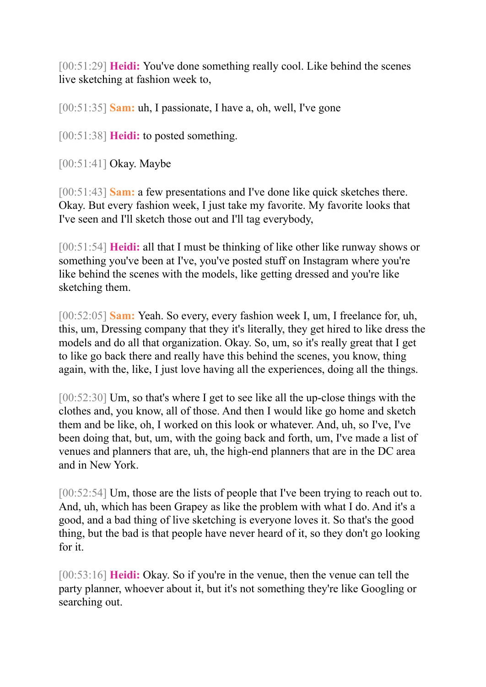[00:51:29] **Heidi:** You've done something really cool. Like behind the scenes live sketching at fashion week to,

[00:51:35] **Sam:** uh, I passionate, I have a, oh, well, I've gone

[00:51:38] **Heidi:** to posted something.

[00:51:41] Okay. Maybe

[00:51:43] **Sam:** a few presentations and I've done like quick sketches there. Okay. But every fashion week, I just take my favorite. My favorite looks that I've seen and I'll sketch those out and I'll tag everybody,

[00:51:54] **Heidi:** all that I must be thinking of like other like runway shows or something you've been at I've, you've posted stuff on Instagram where you're like behind the scenes with the models, like getting dressed and you're like sketching them.

[00:52:05] **Sam:** Yeah. So every, every fashion week I, um, I freelance for, uh, this, um, Dressing company that they it's literally, they get hired to like dress the models and do all that organization. Okay. So, um, so it's really great that I get to like go back there and really have this behind the scenes, you know, thing again, with the, like, I just love having all the experiences, doing all the things.

[00:52:30] Um, so that's where I get to see like all the up-close things with the clothes and, you know, all of those. And then I would like go home and sketch them and be like, oh, I worked on this look or whatever. And, uh, so I've, I've been doing that, but, um, with the going back and forth, um, I've made a list of venues and planners that are, uh, the high-end planners that are in the DC area and in New York.

[00:52:54] Um, those are the lists of people that I've been trying to reach out to. And, uh, which has been Grapey as like the problem with what I do. And it's a good, and a bad thing of live sketching is everyone loves it. So that's the good thing, but the bad is that people have never heard of it, so they don't go looking for it.

[00:53:16] **Heidi:** Okay. So if you're in the venue, then the venue can tell the party planner, whoever about it, but it's not something they're like Googling or searching out.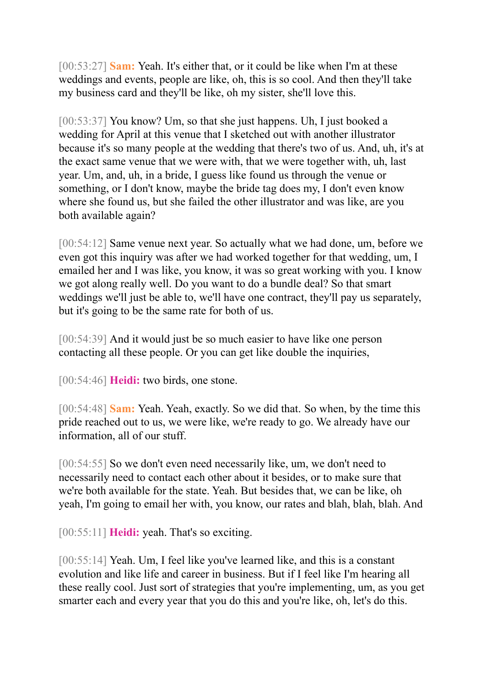[00:53:27] **Sam:** Yeah. It's either that, or it could be like when I'm at these weddings and events, people are like, oh, this is so cool. And then they'll take my business card and they'll be like, oh my sister, she'll love this.

[00:53:37] You know? Um, so that she just happens. Uh, I just booked a wedding for April at this venue that I sketched out with another illustrator because it's so many people at the wedding that there's two of us. And, uh, it's at the exact same venue that we were with, that we were together with, uh, last year. Um, and, uh, in a bride, I guess like found us through the venue or something, or I don't know, maybe the bride tag does my, I don't even know where she found us, but she failed the other illustrator and was like, are you both available again?

[00:54:12] Same venue next year. So actually what we had done, um, before we even got this inquiry was after we had worked together for that wedding, um, I emailed her and I was like, you know, it was so great working with you. I know we got along really well. Do you want to do a bundle deal? So that smart weddings we'll just be able to, we'll have one contract, they'll pay us separately, but it's going to be the same rate for both of us.

[00:54:39] And it would just be so much easier to have like one person contacting all these people. Or you can get like double the inquiries,

[00:54:46] **Heidi:** two birds, one stone.

[00:54:48] **Sam:** Yeah. Yeah, exactly. So we did that. So when, by the time this pride reached out to us, we were like, we're ready to go. We already have our information, all of our stuff.

[00:54:55] So we don't even need necessarily like, um, we don't need to necessarily need to contact each other about it besides, or to make sure that we're both available for the state. Yeah. But besides that, we can be like, oh yeah, I'm going to email her with, you know, our rates and blah, blah, blah. And

[00:55:11] **Heidi:** yeah. That's so exciting.

[00:55:14] Yeah. Um, I feel like you've learned like, and this is a constant evolution and like life and career in business. But if I feel like I'm hearing all these really cool. Just sort of strategies that you're implementing, um, as you get smarter each and every year that you do this and you're like, oh, let's do this.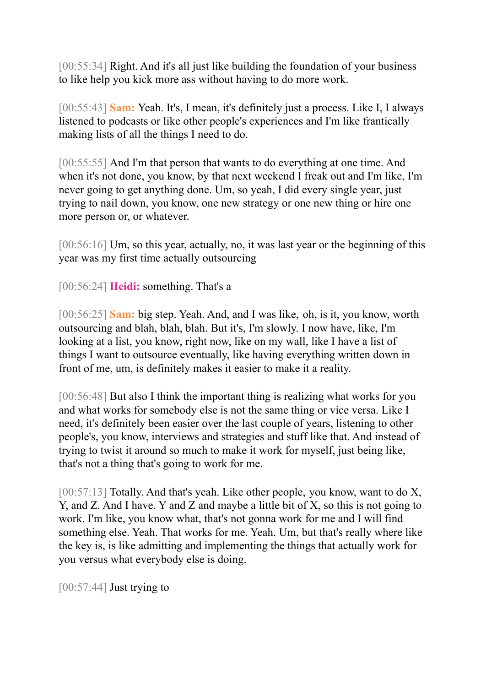[00:55:34] Right. And it's all just like building the foundation of your business to like help you kick more ass without having to do more work.

[00:55:43] **Sam:** Yeah. It's, I mean, it's definitely just a process. Like I, I always listened to podcasts or like other people's experiences and I'm like frantically making lists of all the things I need to do.

[00:55:55] And I'm that person that wants to do everything at one time. And when it's not done, you know, by that next weekend I freak out and I'm like, I'm never going to get anything done. Um, so yeah, I did every single year, just trying to nail down, you know, one new strategy or one new thing or hire one more person or, or whatever.

[00:56:16] Um, so this year, actually, no, it was last year or the beginning of this year was my first time actually outsourcing

[00:56:24] **Heidi:** something. That's a

[00:56:25] **Sam:** big step. Yeah. And, and I was like, oh, is it, you know, worth outsourcing and blah, blah, blah. But it's, I'm slowly. I now have, like, I'm looking at a list, you know, right now, like on my wall, like I have a list of things I want to outsource eventually, like having everything written down in front of me, um, is definitely makes it easier to make it a reality.

[00:56:48] But also I think the important thing is realizing what works for you and what works for somebody else is not the same thing or vice versa. Like I need, it's definitely been easier over the last couple of years, listening to other people's, you know, interviews and strategies and stuff like that. And instead of trying to twist it around so much to make it work for myself, just being like, that's not a thing that's going to work for me.

 $[00:57:13]$  Totally. And that's yeah. Like other people, you know, want to do X, Y, and Z. And I have. Y and Z and maybe a little bit of X, so this is not going to work. I'm like, you know what, that's not gonna work for me and I will find something else. Yeah. That works for me. Yeah. Um, but that's really where like the key is, is like admitting and implementing the things that actually work for you versus what everybody else is doing.

 $[00:57:44]$  Just trying to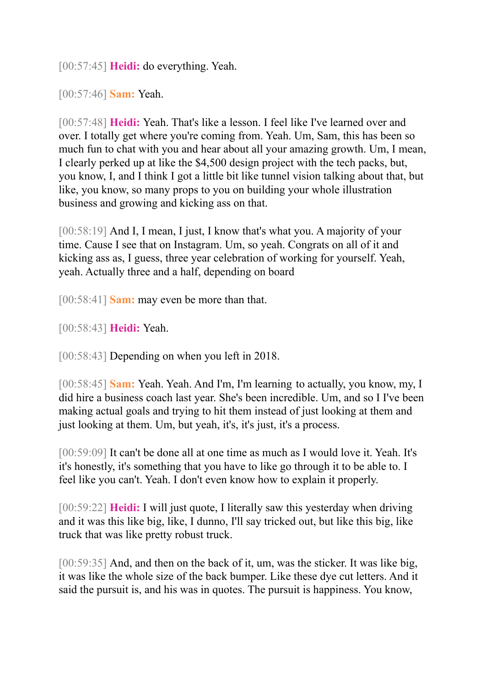[00:57:45] **Heidi:** do everything. Yeah.

[00:57:46] **Sam:** Yeah.

[00:57:48] **Heidi:** Yeah. That's like a lesson. I feel like I've learned over and over. I totally get where you're coming from. Yeah. Um, Sam, this has been so much fun to chat with you and hear about all your amazing growth. Um, I mean, I clearly perked up at like the \$4,500 design project with the tech packs, but, you know, I, and I think I got a little bit like tunnel vision talking about that, but like, you know, so many props to you on building your whole illustration business and growing and kicking ass on that.

[00:58:19] And I, I mean, I just, I know that's what you. A majority of your time. Cause I see that on Instagram. Um, so yeah. Congrats on all of it and kicking ass as, I guess, three year celebration of working for yourself. Yeah, yeah. Actually three and a half, depending on board

[00:58:41] **Sam:** may even be more than that.

[00:58:43] **Heidi:** Yeah.

[00:58:43] Depending on when you left in 2018.

[00:58:45] **Sam:** Yeah. Yeah. And I'm, I'm learning to actually, you know, my, I did hire a business coach last year. She's been incredible. Um, and so I I've been making actual goals and trying to hit them instead of just looking at them and just looking at them. Um, but yeah, it's, it's just, it's a process.

[00:59:09] It can't be done all at one time as much as I would love it. Yeah. It's it's honestly, it's something that you have to like go through it to be able to. I feel like you can't. Yeah. I don't even know how to explain it properly.

[00:59:22] **Heidi:** I will just quote, I literally saw this yesterday when driving and it was this like big, like, I dunno, I'll say tricked out, but like this big, like truck that was like pretty robust truck.

[00:59:35] And, and then on the back of it, um, was the sticker. It was like big, it was like the whole size of the back bumper. Like these dye cut letters. And it said the pursuit is, and his was in quotes. The pursuit is happiness. You know,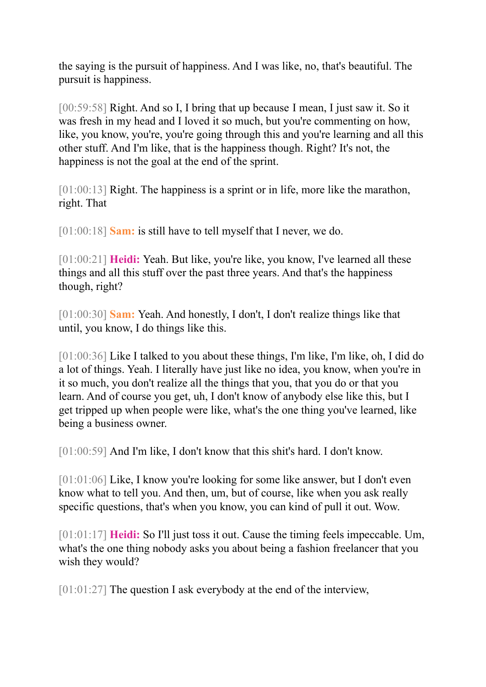the saying is the pursuit of happiness. And I was like, no, that's beautiful. The pursuit is happiness.

[00:59:58] Right. And so I, I bring that up because I mean, I just saw it. So it was fresh in my head and I loved it so much, but you're commenting on how, like, you know, you're, you're going through this and you're learning and all this other stuff. And I'm like, that is the happiness though. Right? It's not, the happiness is not the goal at the end of the sprint.

[01:00:13] Right. The happiness is a sprint or in life, more like the marathon, right. That

[01:00:18] **Sam:** is still have to tell myself that I never, we do.

[01:00:21] **Heidi:** Yeah. But like, you're like, you know, I've learned all these things and all this stuff over the past three years. And that's the happiness though, right?

[01:00:30] **Sam:** Yeah. And honestly, I don't, I don't realize things like that until, you know, I do things like this.

[01:00:36] Like I talked to you about these things, I'm like, I'm like, oh, I did do a lot of things. Yeah. I literally have just like no idea, you know, when you're in it so much, you don't realize all the things that you, that you do or that you learn. And of course you get, uh, I don't know of anybody else like this, but I get tripped up when people were like, what's the one thing you've learned, like being a business owner.

[01:00:59] And I'm like, I don't know that this shit's hard. I don't know.

[01:01:06] Like, I know you're looking for some like answer, but I don't even know what to tell you. And then, um, but of course, like when you ask really specific questions, that's when you know, you can kind of pull it out. Wow.

[01:01:17] **Heidi:** So I'll just toss it out. Cause the timing feels impeccable. Um, what's the one thing nobody asks you about being a fashion freelancer that you wish they would?

[01:01:27] The question I ask everybody at the end of the interview,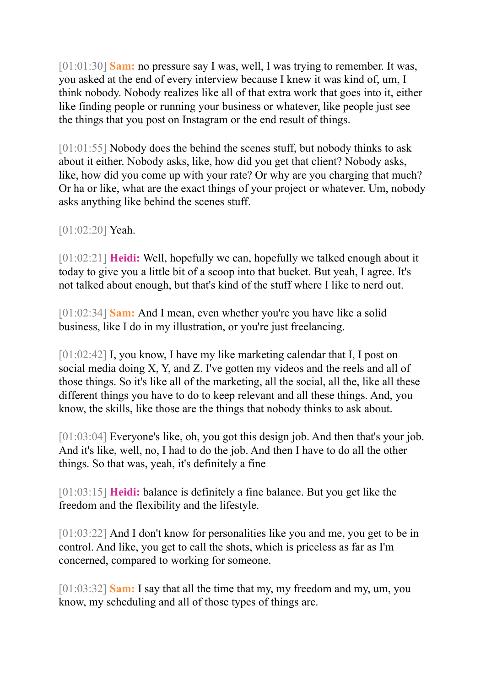[01:01:30] **Sam:** no pressure say I was, well, I was trying to remember. It was, you asked at the end of every interview because I knew it was kind of, um, I think nobody. Nobody realizes like all of that extra work that goes into it, either like finding people or running your business or whatever, like people just see the things that you post on Instagram or the end result of things.

[01:01:55] Nobody does the behind the scenes stuff, but nobody thinks to ask about it either. Nobody asks, like, how did you get that client? Nobody asks, like, how did you come up with your rate? Or why are you charging that much? Or ha or like, what are the exact things of your project or whatever. Um, nobody asks anything like behind the scenes stuff.

[01:02:20] Yeah.

[01:02:21] **Heidi:** Well, hopefully we can, hopefully we talked enough about it today to give you a little bit of a scoop into that bucket. But yeah, I agree. It's not talked about enough, but that's kind of the stuff where I like to nerd out.

[01:02:34] **Sam:** And I mean, even whether you're you have like a solid business, like I do in my illustration, or you're just freelancing.

[01:02:42] I, you know, I have my like marketing calendar that I, I post on social media doing X, Y, and Z. I've gotten my videos and the reels and all of those things. So it's like all of the marketing, all the social, all the, like all these different things you have to do to keep relevant and all these things. And, you know, the skills, like those are the things that nobody thinks to ask about.

[01:03:04] Everyone's like, oh, you got this design job. And then that's your job. And it's like, well, no, I had to do the job. And then I have to do all the other things. So that was, yeah, it's definitely a fine

[01:03:15] **Heidi:** balance is definitely a fine balance. But you get like the freedom and the flexibility and the lifestyle.

[01:03:22] And I don't know for personalities like you and me, you get to be in control. And like, you get to call the shots, which is priceless as far as I'm concerned, compared to working for someone.

[01:03:32] **Sam:** I say that all the time that my, my freedom and my, um, you know, my scheduling and all of those types of things are.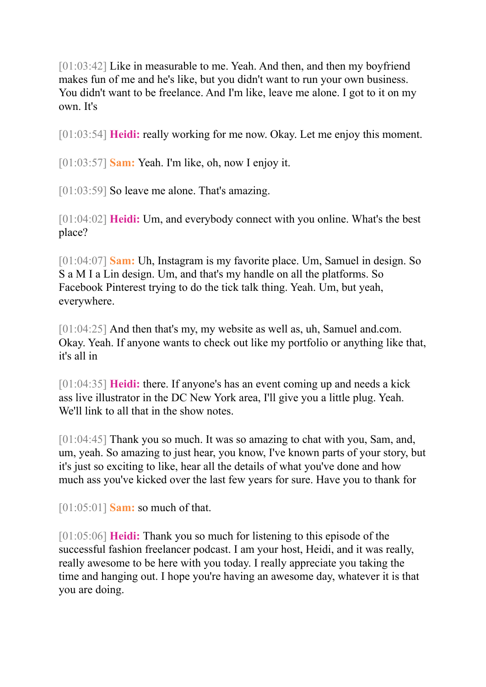[01:03:42] Like in measurable to me. Yeah. And then, and then my boyfriend makes fun of me and he's like, but you didn't want to run your own business. You didn't want to be freelance. And I'm like, leave me alone. I got to it on my own. It's

[01:03:54] **Heidi:** really working for me now. Okay. Let me enjoy this moment.

[01:03:57] **Sam:** Yeah. I'm like, oh, now I enjoy it.

[01:03:59] So leave me alone. That's amazing.

[01:04:02] **Heidi:** Um, and everybody connect with you online. What's the best place?

[01:04:07] **Sam:** Uh, Instagram is my favorite place. Um, Samuel in design. So S a M I a Lin design. Um, and that's my handle on all the platforms. So Facebook Pinterest trying to do the tick talk thing. Yeah. Um, but yeah, everywhere.

[01:04:25] And then that's my, my website as well as, uh, Samuel and.com. Okay. Yeah. If anyone wants to check out like my portfolio or anything like that, it's all in

[01:04:35] **Heidi:** there. If anyone's has an event coming up and needs a kick ass live illustrator in the DC New York area, I'll give you a little plug. Yeah. We'll link to all that in the show notes.

[01:04:45] Thank you so much. It was so amazing to chat with you, Sam, and, um, yeah. So amazing to just hear, you know, I've known parts of your story, but it's just so exciting to like, hear all the details of what you've done and how much ass you've kicked over the last few years for sure. Have you to thank for

[01:05:01] **Sam:** so much of that.

[01:05:06] **Heidi:** Thank you so much for listening to this episode of the successful fashion freelancer podcast. I am your host, Heidi, and it was really, really awesome to be here with you today. I really appreciate you taking the time and hanging out. I hope you're having an awesome day, whatever it is that you are doing.